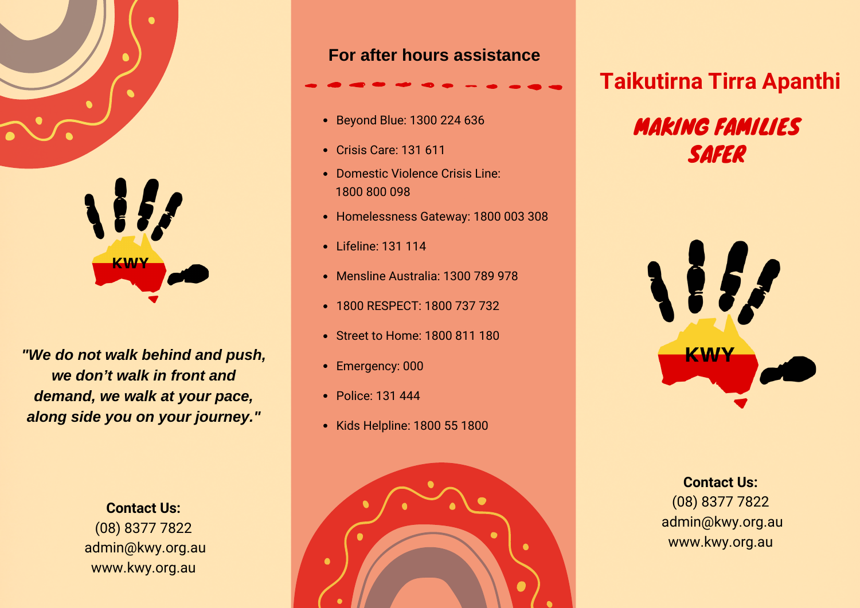

*"We do not walk behind and push, we don't walk in front and demand, we walk at your pace, along side you on your journey."*

> **Contact Us:** (08) 8377 7822 admin@kwy.org.au www.kwy.org.au

### **For after hours assistance**

- Beyond Blue: 1300 224 636
- Crisis Care: 131 611
- Domestic Violence Crisis Line: 1800 800 098
- Homelessness Gateway: 1800 003 308
- Lifeline: 131 114
- Mensline Australia: 1300 789 978
- 1800 RESPECT: 1800 737 732
- Street to Home: 1800 811 180
- Emergency: 000
- Police: 131 444
- Kids Helpline: 1800 55 1800



# **Taikutirna Tirra Apanthi**

# MAKING FAMILIES SAFER



**Contact Us:** (08) 8377 7822 admin@kwy.org.au www.kwy.org.au